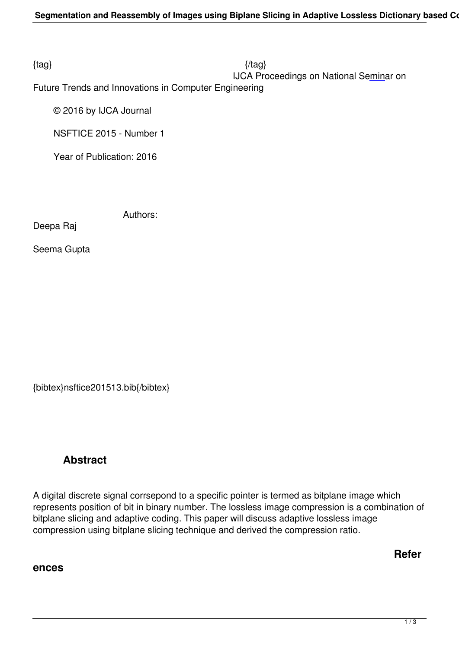# IJCA Proceedings on National Seminar on

Future Trends and Innovations in Computer Engineering

© 2016 by IJCA Journal

NSFTICE 2015 - Number 1

Year of Publication: 2016

Authors:

Deepa Raj

Seema Gupta

{bibtex}nsftice201513.bib{/bibtex}

# **Abstract**

A digital discrete signal corrsepond to a specific pointer is termed as bitplane image which represents position of bit in binary number. The lossless image compression is a combination of bitplane slicing and adaptive coding. This paper will discuss adaptive lossless image compression using bitplane slicing technique and derived the compression ratio.

**Refer**

### **ences**